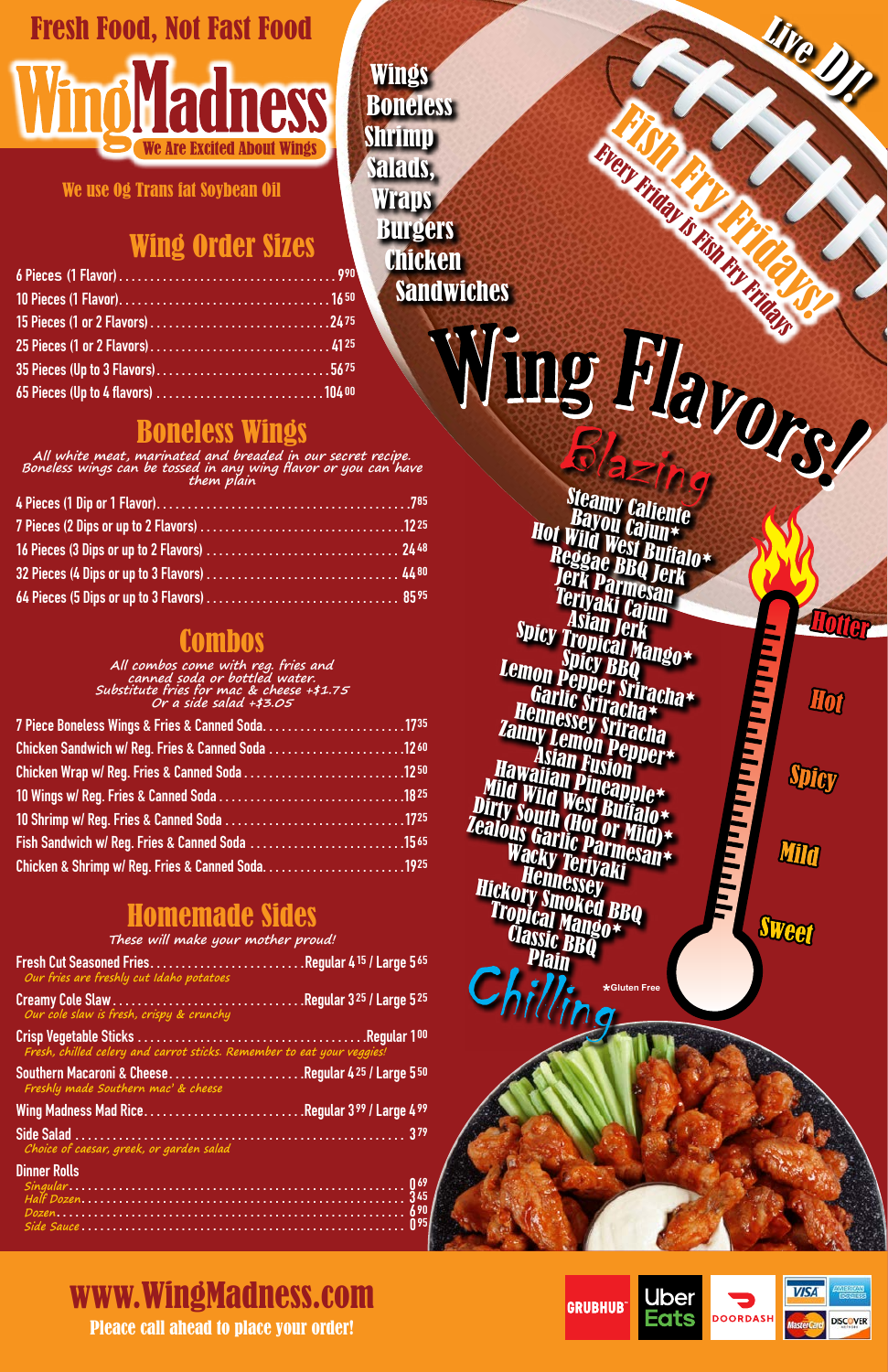# Fresh Food, Not Fast Food **Vind Yadness**

We use 0g Trans fat Soybean Oil

**All combos come with reg. fries and canned soda or bottled water. Substitute fries for mac & cheese +\$1.75 Or a side salad +\$3.05**

Wings **Boneless** Shrimp Salads, Wraps Burgers Chicken **Sandwiches** 

| 7 Piece Boneless Wings & Fries & Canned Soda1735           |  |
|------------------------------------------------------------|--|
| Chicken Sandwich w/ Reg. Fries & Canned Soda 1260          |  |
|                                                            |  |
|                                                            |  |
|                                                            |  |
| Fish Sandwich w/ Reg. Fries & Canned Soda 15 <sup>65</sup> |  |
| Chicken & Shrimp w/ Reg. Fries & Canned Soda1925           |  |
|                                                            |  |

<sup>F</sup>is<sup>h</sup> <sup>F</sup>r<sup>y</sup> <sup>F</sup>ridays!

<sup>L</sup>iv<sup>e</sup> <sup>D</sup>J!

**Hotter** 

Hot

Spicy

Min

Sweet

# Wing Order Sizes

# Boneless Wings

**All white meat, marinated and breaded in our secret recipe. Boneless wings can be tossed in any wing flavor or you can have them plain** Tento de la California de la California de la California de la California de la California de la California de la California de la California de la California de la California de la California de la California de la Califo Hot Wild West Buffalo\*<br>Reggae BBQ Jerk Jerk Parmesan Teriyaki Cajun<br>Asian Jerk **Spicy Tropical Mango\*** Lemon Pepper Sriracha\* Garlic Sriracha\* Hennessey Sriracha<br>Anny Lemon Pepper<br>Asian Fusion Zanny Lemon Pepper\*Asian Fusion<br>Hawaiian Fusion<br><sup>Lid</sup> Wild Wast Ripple\* Mild Wild West Buffalo\*<br>Dirty South (Hot Buffalo\*<br>Dirty South (Hot or Mild)\*<br>Calous Garlic Darmald)\* Zealous Garlic Parmesan Wacky Teriyaki \* Wacky Teriyaki<br>Hickory Smoked BBQ Tropical Mango Classic BBQ Plain **\*Gluten Free**

Every Friday is Fish Fry Francisco

# **Combos**

# Homemade Sides

**These will make your mother proud!**

| Fresh Cut Seasoned FriesRegular 415 / Large 565 |  |
|-------------------------------------------------|--|
| Our fries are freshly cut Idaho potatoes        |  |
|                                                 |  |

**Our cole slaw is fresh, crispy & crunchy**

Crisp Vegetable Sticks . . . . . . . . . . . . . . . . . . . . . . . . . . . . . . . . . . . . Regular 100 **Fresh, chilled celery and carrot sticks. Remember to eat your veggies!**

Southern Macaroni & Cheese . . . . . . . . . . . . . . . . . . . . . Regular 425 / Large 550 **Freshly made Southern mac' & cheese**

Wing Madness Mad Rice . . . . . . . . . . . . . . . . . . . . . . . . . Regular 399 / Large 499 Side Salad . . . . . . . . . . . . . . . . . . . . . . . . . . . . . . . . . . . . . . . . . . . . . . . . . . . . . 379 **Choice of caesar, greek, or garden salad**

#### Dinner Rolls

| --------------- |  |
|-----------------|--|
|                 |  |
|                 |  |
|                 |  |
|                 |  |



### Pleace call ahead to place your order! www.WingMadness.com